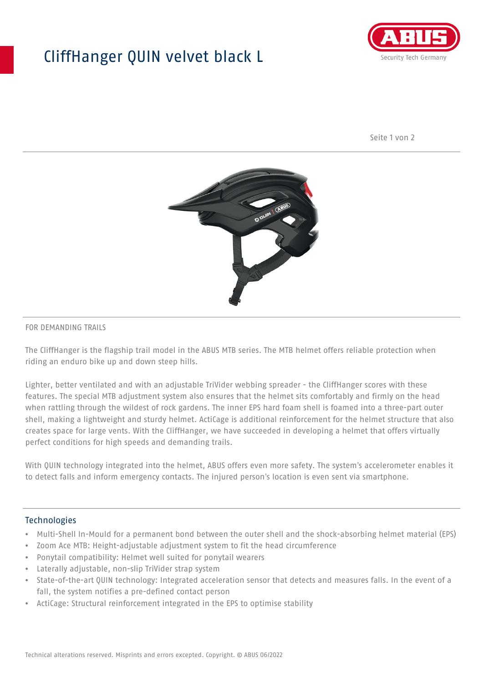## CliffHanger QUIN velvet black L



Seite 1 von 2



#### FOR DEMANDING TRAILS

The CliffHanger is the flagship trail model in the ABUS MTB series. The MTB helmet offers reliable protection when riding an enduro bike up and down steep hills.

Lighter, better ventilated and with an adjustable TriVider webbing spreader - the CliffHanger scores with these features. The special MTB adjustment system also ensures that the helmet sits comfortably and firmly on the head when rattling through the wildest of rock gardens. The inner EPS hard foam shell is foamed into a three-part outer shell, making a lightweight and sturdy helmet. ActiCage is additional reinforcement for the helmet structure that also creates space for large vents. With the CliffHanger, we have succeeded in developing a helmet that offers virtually perfect conditions for high speeds and demanding trails.

With QUIN technology integrated into the helmet, ABUS offers even more safety. The system's accelerometer enables it to detect falls and inform emergency contacts. The injured person's location is even sent via smartphone.

#### **Technologies**

- Multi-Shell In-Mould for a permanent bond between the outer shell and the shock-absorbing helmet material (EPS)
- Zoom Ace MTB: Height-adjustable adjustment system to fit the head circumference
- Ponytail compatibility: Helmet well suited for ponytail wearers
- Laterally adjustable, non-slip TriVider strap system
- State-of-the-art QUIN technology: Integrated acceleration sensor that detects and measures falls. In the event of a fall, the system notifies a pre-defined contact person
- ActiCage: Structural reinforcement integrated in the EPS to optimise stability